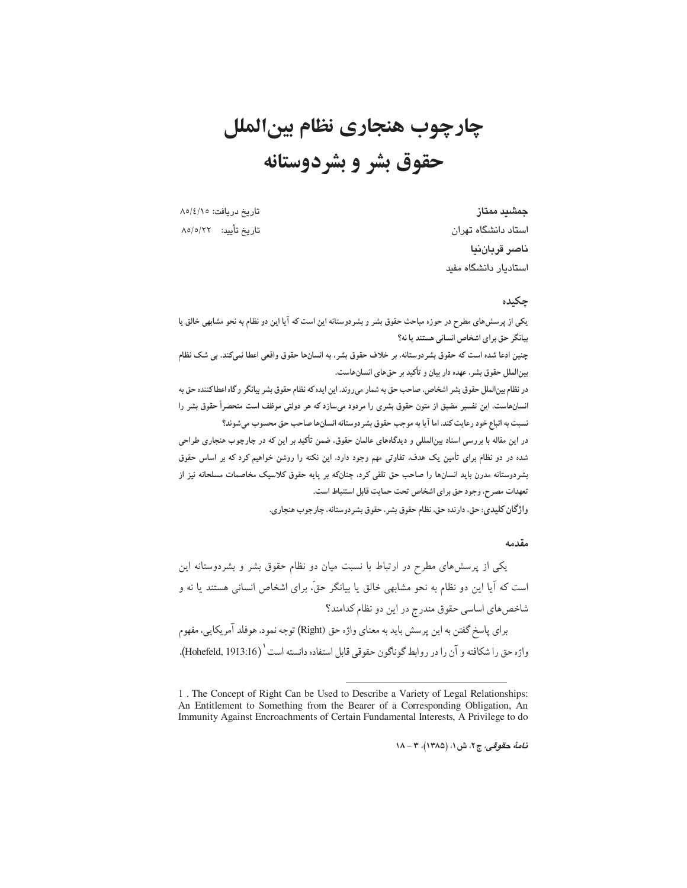# چارچوب هنجاري نظام بينالملل حقوق بشر و بشردوستانه

تاریخ دریافت: ۸۵/٤/۱۵ تاريخ تأييد: ٨٥/٥/٢٢

جمشىد ممتاز استاد دانشگاه تهران ناصر قريان نيا استادیار دانشگاه مفید

# چکیده

یکی از پرسشهای مطرح در حوزه مباحث حقوق بشر و بشردوستانه این است که آیا این دو نظام به نحو مشابهی خالق یا بیانگر حق برای اشخاص انسانی هستند یا نه؟

چنین ادعا شده است که حقوق بشردوستانه، بر خلاف حقوق بشر، به انسانها حقوق واقعی اعطا نمیکند. بی شک نظام بین الملل حقوق بشر، عهده دار بیان و تأکید بر حقهای انسانهاست.

در نظام بینالملل حقوق بشر اشخاص، صاحب حق به شمار میروند. این ایده که نظام حقوق بشر بیانگر و گاه اعطاکننده حق به انسانهاست. این تفسیر مضیق از متون حقوق بشری را مردود میسازد که هر دولتی موظف است منحصراً حقوق بشر را نسبت به اتباع خود رعايت كند. اما آيا به موجب حقوق بشردوستانه انسانها صاحب حق محسوب مى شوند؟

در این مقاله با بررسی اسناد بینالمللی و دیدگاههای عالمان حقوق، ضمن تأکید بر این که در چارچوب هنجاری طراحی شده در دو نظام برای تأمین یک هدف. تفاوتی مهم وجود دارد. این نکته را روشن خواهیم کرد که بر اساس حقوق بشردوستانه مدرن باید انسانها را صاحب حق تلقی کرد. چنانکه بر پایه حقوق کلاسیک مخاصمات مسلحانه نیز از تعهدات مصرح، وجود حق براي اشخاص تحت حمايت قابل استنباط است.

واژگان کلیدی: حق، دارنده حق، نظام حقوق بشر، حقوق بشردوستانه، چارجوب هنجاری.

# مقدمه

یکی از پرسشهای مطرح در ارتباط با نسبت میان دو نظام حقوق بشر و بشردوستانه این است که آیا این دو نظام به نحو مشابهی خالق یا بیانگر حقٌّ، برای اشخاص انسانی هستند یا نه و شاخص های اساسی حقوق مندرج در این دو نظام کدامند؟ براي ياسخ گفتن به اين پرسش بايد به معناي واژه حق (Right) توجه نمود. هوفلد آمريكايي، مفهوم واژه حق را شکافته و آن را در روابط گوناگون حقوقی قابل استفاده دانسته است ' (Hohefeld, 1913:16).

نامهٔ حقوقی، ج۲، ش ۱، (۱۳۸۵)، ۳ - ۱۸

<sup>1.</sup> The Concept of Right Can be Used to Describe a Variety of Legal Relationships: An Entitlement to Something from the Bearer of a Corresponding Obligation, An Immunity Against Encroachments of Certain Fundamental Interests, A Privilege to do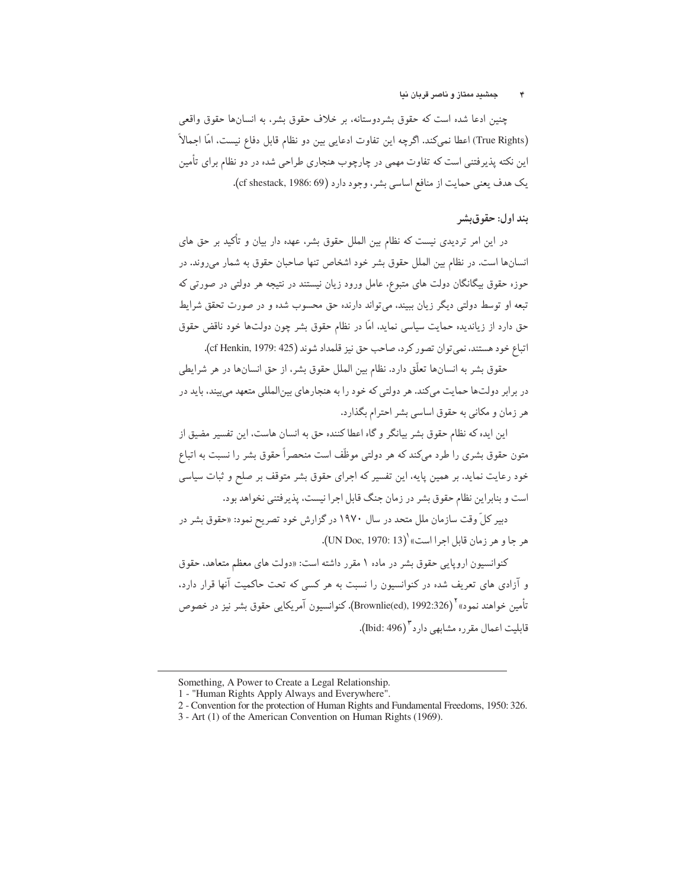چنین ادعا شده است که حقوق بشردوستانه، بر خلاف حقوق بشر، به انسانها حقوق واقعی (True Rights) اعطا نميكند. اگرچه اين تفاوت ادعايي بين دو نظام قابل دفاع نيست، امّا اجمالاً این نکته پذیرفتنی است که تفاوت مهمی در چارچوب هنجاری طراحی شده در دو نظام برای تأمین يک هدف يعني حمايت از منافع اساسي بشر، وجود دارد (1986: 69). (cf shestack, 1986: 69).

# بند اول: حقوق بشر

در این امر تردیدی نیست که نظام بین الملل حقوق بشر، عهده دار بیان و تأکید بر حق های انسانها است. در نظام بین الملل حقوق بشر خود اشخاص تنها صاحبان حقوق به شمار می روند. در حوزه حقوق بیگانگان دولت های متبوع، عامل ورود زیان نیستند در نتیجه هر دولتی در صورتی که ۔<br>تبعه او توسط دولتے دیگر ; بان بیبند، می تواند دارندہ حق محسوب شدہ و در صورت تحقق شرایط حق دارد از زیاندیده حمایت سیاسی نماید، امّا در نظام حقوق بشر چون دولتها خود ناقض حقوق اتباع خود هستند، نمي توان تصور كرد، صاحب حق نيز قلمداد شوند (cf Henkin, 1979: 425).

حقوق بشر به انسانها تعلَّق دارد. نظام بين الملل حقوق بشر، از حق انسانها در هر شرايطي در برابر دولتها حمایت میکند. هر دولتی که خود را به هنجارهای بینالمللی متعهد می بیند، باید در هر زمان و مکانی به حقوق اساسی بشر احترام بگذارد.

این ایده که نظام حقوق بشر بیانگر و گاه اعطا کننده حق به انسان هاست، این تفسیر مضیق از متون حقوق بشری را طرد میکند که هر دولتی موظّف است منحصراً حقوق بشر را نسبت به اتباع خود رعایت نماید. بر همین پایه، این تفسیر که اجرای حقوق بشر متوقف بر صلح و ثبات سیاسی است و بنابراین نظام حقوق بشر در زمان جنگ قابل اجرا نیست، پذیرفتنی نخواهد بود.

دبیر کلّ وقت سازمان ملل متحد در سال ۱۹۷۰ در گزارش خود تصریح نمود: «حقوق بشر در هر جا و هر زمان قابل اجرا است» (UN Doc, 1970: 13).

کنوانسیون اروپایی حقوق بشر در ماده ۱ مقرر داشته است: «دولت های معظم متعاهد، حقوق و آزادی های تعریف شده در کنوانسیون را نسبت به هر کسی که تحت حاکمیت آنها قرار دارد. تأمین خواهند نمود» `` (Brownlie(ed), 1992:326). کنوانسیون آمریکایی حقوق پشر نیز در خصوص قابلیت اعمال مقرره مشابهی دارد<sup>۳</sup> (Ibid: 496).

Something, A Power to Create a Legal Relationship.

<sup>1 - &</sup>quot;Human Rights Apply Always and Everywhere".

<sup>2 -</sup> Convention for the protection of Human Rights and Fundamental Freedoms, 1950: 326.

<sup>3 -</sup> Art (1) of the American Convention on Human Rights (1969).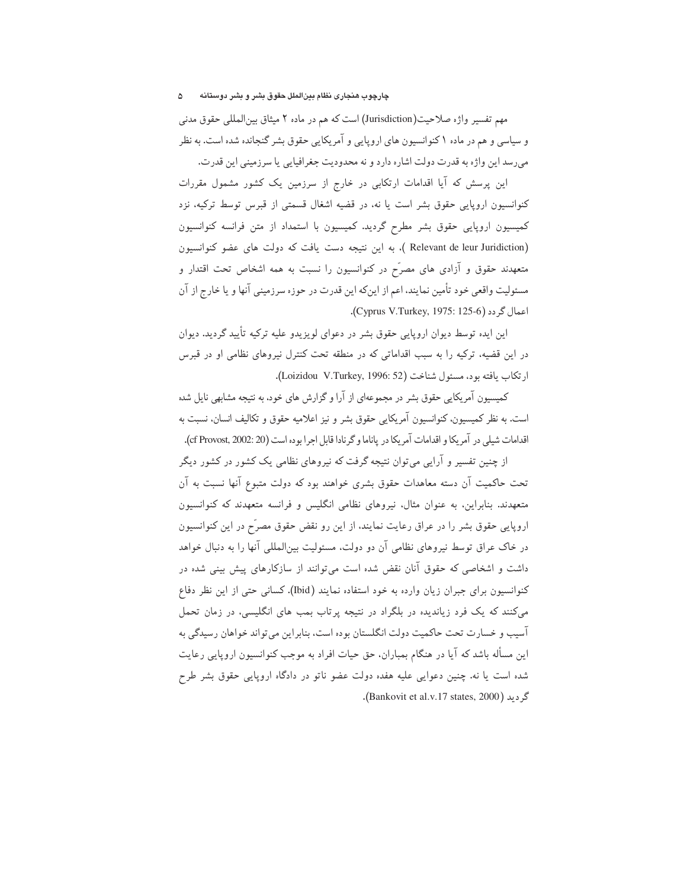#### چارچوب هنجاری نظام بینالملل حقوق بشر و بشر دوستانه ۵

مهم تفسیر واژه صلاحیت(Jurisdiction) است که هم در ماده ۲ میثاق بین|لمللی حقوق مدنی و سیاسی و هم در ماده ۱ کنوانسیون های اروپایی و آمریکایی حقوق بشر گنجانده شده است. به نظر می رسد این واژه به قدرت دولت اشاره دارد و نه محدودیت جغرافیایی یا سرزمینی این قدرت.

این پرسش که آیا اقدامات ارتکابی در خارج از سرزمین یک کشور مشمول مقررات کنوانسیون اروپایی حقوق بشر است یا نه، در قضیه اشغال قسمتی از قبرس توسط ترکیه، نزد کمیسیون اروپایی حقوق بشر مطرح گردید. کمیسیون با استمداد از متن فرانسه کنوانسیون (Relevant de leur Juridiction ). به این نتیجه دست یافت که دولت های عضو کنوانسیون متعهدند حقوق و آزادی های مصرّح در کنوانسیون را نسبت به همه اشخاص تحت اقتدار و مسئولیت واقعی خود تأمین نمایند، اعم از اینکه این قدرت در حوزه سرزمینی آنها و یا خارج از آن اعمال گر دد (Cyprus V.Turkey, 1975: 125-6).

این ایده توسط دیوان اروپایی حقوق بشر در دعوای لویزیدو علیه ترکیه تأیید گردید. دیوان در این قضیه، ترکیه را به سبب اقداماتی که در منطقه تحت کنترل نیروهای نظامی او در قبرس ارتكاب يافته بود، مسئول شناخت (Loizidou V.Turkey, 1996: 52).

کمیسیون آمریکایی حقوق بشر در مجموعهای از آرا و گزارش های خود، به نتیجه مشابهی نایل شده است. به نظر کمیسیون، کنوانسیون آمریکایی حقوق بشر و نیز اعلامیه حقوق و تکالیف انسان، نسبت به اقدامات شبلی در آمریکا و اقدامات آمریکا در پاناما و گرنادا قابل اجرا بوده است (f Provost, 2002: 20).

از چنین تفسیر و آرایبی میتوان نتیجه گرفت که نیروهای نظامی یک کشور در کشور دیگر تحت حاکمیت آن دسته معاهدات حقوق بشری خواهند بود که دولت متبوع آنها نسبت به آن متعهدند. بنابراین، به عنوان مثال، نیروهای نظامی انگلیس و فرانسه متعهدند که کنوانسیون اروپایی حقوق بشر را در عراق رعایت نمایند، از این رو نقض حقوق مصرّح در این کنوانسیون در خاک عراق توسط نیروهای نظامی آن دو دولت، مسئولیت بین|لمللی آنها را به دنبال خواهد داشت و اشخاصی که حقوق آنان نقض شده است میتوانند از سازکارهای پیش بینی شده در كنوانسيون براي جبران زيان وارده به خود استفاده نمايند (Ibid). كساني حتى از اين نظر دفاع می کنند که یک فرد زیاندیده در بلگراد در نتیجه پرتاب بمب های انگلیسی، در زمان تحمل آسیب و خسارت تحت حاکمیت دولت انگلستان بوده است، بنابراین می تواند خواهان رسیدگی به این مسأله باشد که آیا در هنگام بمباران، حق حیات افراد به موجب کنوانسیون اروپایی رعایت شده است یا نه. چنین دعوایی علیه هفده دولت عضو ناتو در دادگاه اروپایی حقوق بشر طرح گردید (Bankovit et al.v.17 states, 2000).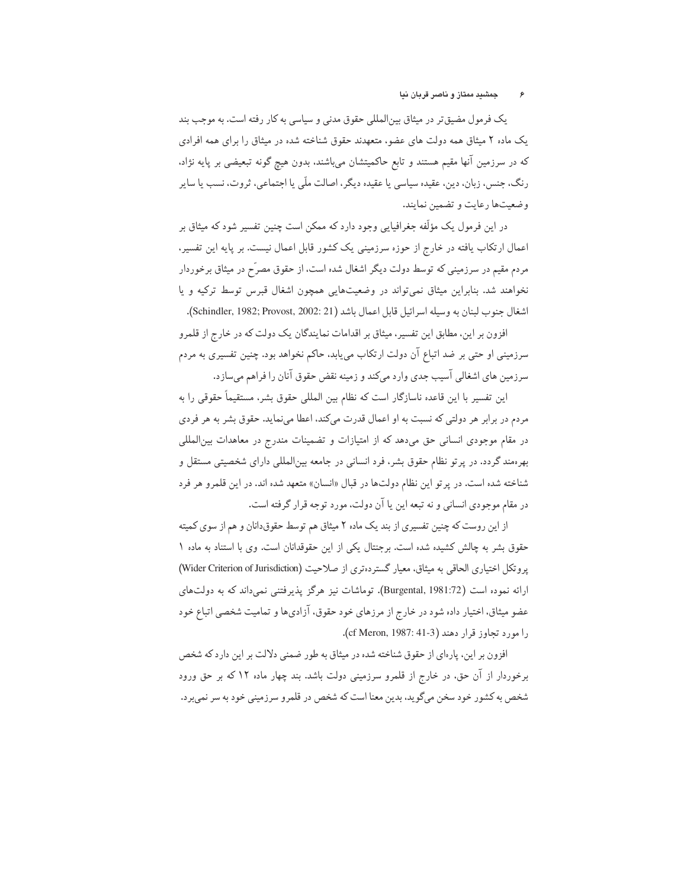یک فرمول مضیق تر در میثاق بین|لمللی حقوق مدنی و سیاسی به کار رفته است. به موجب بند یک ماده ۲ میثاق همه دولت های عضو، متعهدند حقوق شناخته شده در میثاق را برای همه افرادی که در سرزمین آنها مقیم هستند و تابع حاکمیتشان میباشند، بدون هیچ گونه تبعیضی بر پایه نژاد. رنگ، جنس، زبان، دین، عقیده سیاسی یا عقیده دیگر، اصالت ملّی یا اجتماعی، ثروت، نسب یا سایر وضعیتها رعایت و تضمین نمایند.

در این فرمول یک مؤلّفه جغرافیایی وجود دارد که ممکن است چنین تفسیر شود که میثاق بر اعمال ارتکاب یافته در خارج از حوزه سرزمینی یک کشور قابل اعمال نیست. بر پایه این تفسیر، مردم مقیم در سرزمینی که توسط دولت دیگر اشغال شده است، از حقوق مصرّح در میثاق برخوردار نخواهند شد. بنابراین میثاق نمیتواند در وضعیتهایی همچون اشغال قبرس توسط ترکیه و یا اشغال جنوب لبنان به وسيله اسرائيل قابل اعمال باشد (Schindler, 1982; Provost, 2002: 21).

افزون بر این، مطابق این تفسیر، میثاق بر اقدامات نمایندگان یک دولت که در خارج از قلمرو سرزمینی او حتی بر ضد اتباع آن دولت ارتکاب مییابد. حاکم نخواهد بود. چنین تفسیری به مردم سرزمین های اشغالی آسیب جدی وارد میکند و زمینه نقض حقوق آنان را فراهم میسازد.

این تفسیر با این قاعده ناسازگار است که نظام بین المللی حقوق بشر، مستقیماً حقوقی را به مردم در برابر هر دولتی که نسبت به او اعمال قدرت میکند، اعطا مینماید. حقوق بشر به هر فردی در مقام موجودی انسانی حق میدهد که از امتیازات و تضمینات مندرج در معاهدات بین|لمللی بهرهمند گردد. در پرتو نظام حقوق بشر، فرد انسانی در جامعه بین|لمللی دارای شخصیتی مستقل و شناخته شده است. در پرتو این نظام دولتها در قبال «انسان» متعهد شده اند. در این قلمرو هر فرد در مقام موجودي انساني و نه تبعه اين يا آن دولت، مورد توجه قرار گرفته است.

از این روست که چنین تفسیری از بند یک ماده ۲ میثاق هم توسط حقوق،دانان و هم از سوی کمیته حقوق بشر به چالش کشیده شده است. برجنتال یکی از این حقوقدانان است. وی با استناد به ماده ۱ یروتکل اختیاری الحاقی به میثاق، معیار گستردهتری از صلاحیت (Wider Criterion of Jurisdiction) ارائه نموده است (Burgental, 1981:72). توماشات نیز هرگز پذیرفتنی نمی،داند که به دولتهای عضو میثاق، اختیار داده شود در خارج از مرزهای خود حقوق، آزادیها و تمامیت شخصی اتباع خود را مورد تجاوز قرار دهند (cf Meron, 1987: 41-3).

افزون بر این، پارهای از حقوق شناخته شده در میثاق به طور ضمنی دلالت بر این دارد که شخص برخوردار از آن حق، در خارج از قلمرو سرزمینی دولت باشد. بند چهار ماده ۱۲ که بر حق ورود شخص به کشور خود سخن میگوید، بدین معنا است که شخص در قلمرو سرزمینی خود به سر نمیبرد.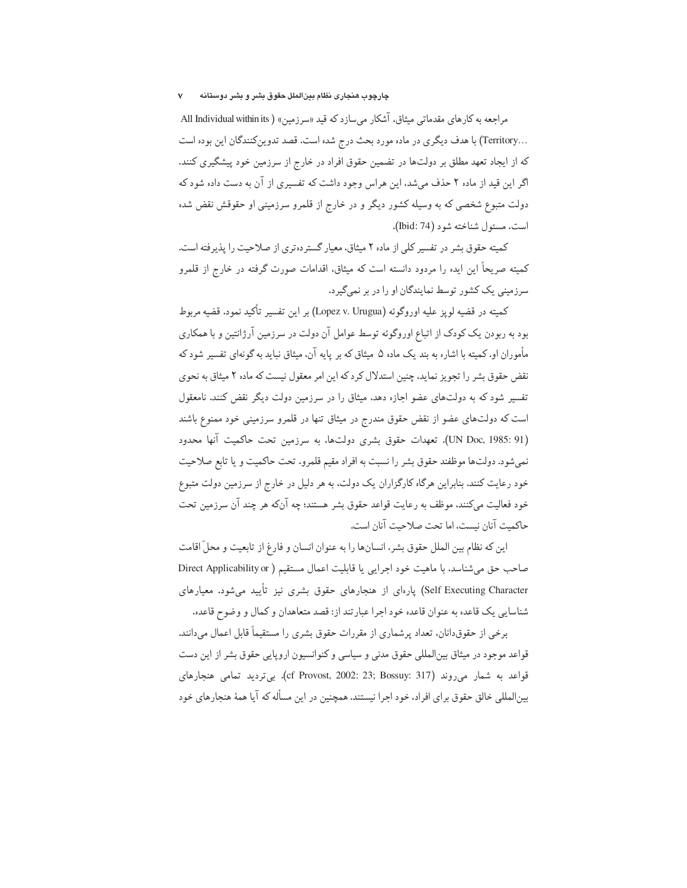## چارچوب هنجاری نظام بینالملل حقوق بشر و بشر دوستانه

مراجعه به کارهای مقدماتی میثاق، آشکار می سازد که قید «سرزمین» ( All Individual within its ...Territory) با هدف دیگری در ماده مورد بحث درج شده است. قصد تدوین کنندگان این بوده است که از ایجاد تعهد مطلق بر دولتها در تضمین حقوق افراد در خارج از سرزمین خود پیشگیری کنند. اگر این قید از ماده ۲ حذف میشد، این هراس وجود داشت که تفسیری از آن به دست داده شود که دولت متبوع شخصی که به وسیله کشور دیگر و در خارج از قلمرو سرزمینی او حقوقش نقض شده است، مسئول شناخته شود (Ibid: 74).

كميته حقوق بشر در تفسير كلي از ماده ۲ ميثاق، معيار گستر ده ترى از صلاحيت را پذير فته است. کمیته صریحاً این ایده را مردود دانسته است که میثاق، اقدامات صورت گرفته در خارج از قلمرو سرزمینی یک کشور توسط نمایندگان او را در بر نمی گیرد.

كميته در قضيه لويز عليه اوروگوئه (Lopez v. Urugua) بر اين تفسير تأكيد نمود. قضيه مربوط بود به ربودن یک کودک از اتباع اوروگوئه توسط عوامل آن دولت در سرزمین آرژانتین و با همکاری مأموران او. کمیته با اشاره به بند یک ماده ۵ میثاق که بر پایه آن، میثاق نباید به گونهای تفسیر شود که نقض حقوق بشر را تجویز نماید. چنین استدلال کرد که این امر معقول نیست که ماده ۲ میثاق به نحوی تفسیر شود که به دولتهای عضو اجازه دهد، میثاق را در سرزمین دولت دیگر نقض کنند. نامعقول است که دولتهای عضو از نقض حقوق مندرج در میثاق تنها در قلمرو سرزمینی خود ممنوع باشند (UN Doc, 1985: 91). تعهدات حقوق بشرى دولتها، به سرزمين تحت حاكميت آنها محدود نمیشود. دولتها موظفند حقوق بشر را نسبت به افراد مقیم قلمرو، تحت حاکمیت و یا تابع صلاحیت خود رعایت کنند. بنابراین هرگاه کارگزاران یک دولت، به هر دلیل در خارج از سرزمین دولت متبوع خود فعالیت میکنند، موظف به رعایت قواعد حقوق بشر هستند؛ چه آنکه هر چند آن سرزمین تحت حاكميت آنان نيست، اما تحت صلاحيت آنان است.

اين كه نظام بين الملل حقوق بشر، انسانها را به عنوان انسان و فارغ از تابعيت و محلِّ اقامت صاحب حق میشناسد، با ماهیت خود اجرایی یا قابلیت اعمال مستقیم ( Direct Applicability or Self Executing Character) یارەای از هنجارهای حقوق بشری نیز تأیید می،شود. معیارهای شناسایی یک قاعده به عنوان قاعده خود اجرا عبارتند از: قصد متعاهدان و کمال و وضوح قاعده.

برخی از حقوقدانان، تعداد پرشماری از مقررات حقوق بشری را مستقیماً قابل اعمال می،دانند. قواعد موجود در میثاق بین|لمللی حقوق مدنی و سیاسی و کنوانسیون اروپایی حقوق بشر از این دست قواعد به شمار میروند (cf Provost, 2002: 23; Bossuy: 317). بیتردید تمامی هنجارهای بین|لمللی خالق حقوق برای افراد، خود اجرا نیستند. همچنین در این مسأله که آیا همهٔ هنجارهای خود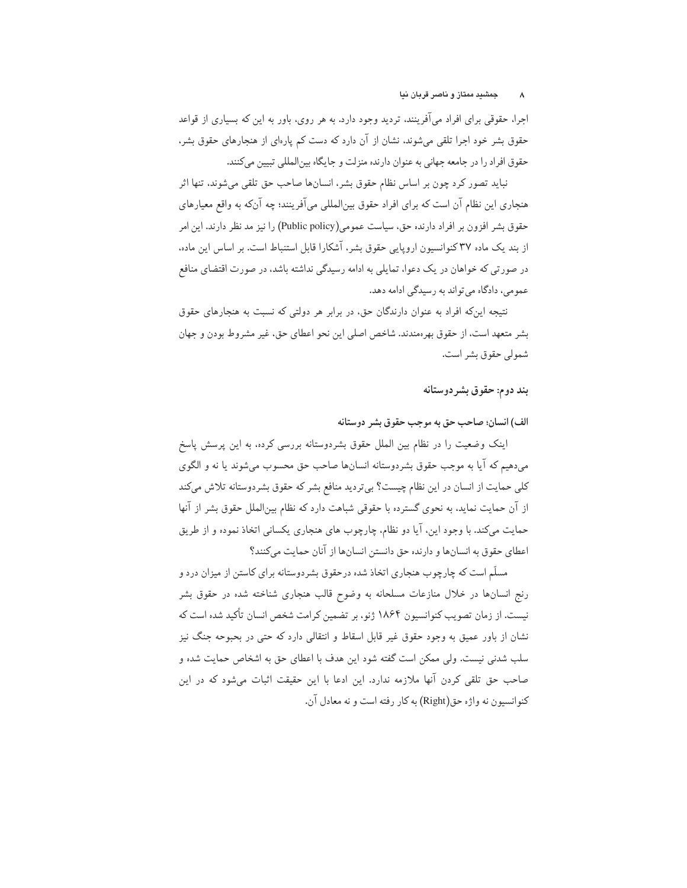اجرا، حقوقی برای افراد میآفرینند، تردید وجود دارد. به هر روی، باور به این که بسیاری از قواعد حقوق بشر خود اجرا تلقی میشوند، نشان از آن دارد که دست کم پارهای از هنجارهای حقوق بشر، حقوق افراد را در جامعه جهانی به عنوان دارنده منزلت و جایگاه بین|لمللی تبیین می کنند.

نباید تصور کرد چون بر اساس نظام حقوق بشر، انسانها صاحب حق تلقی میشوند، تنها اثر هنجاري اين نظام آن است كه براي افراد حقوق بين|لمللي مي|ّفرينند؛ چه آنكه به واقع معيارهاي حقوق بشر افزون بر افراد دارنده حق، سیاست عمومی(Public policy) را نیز مد نظر دارند. این امر از بند یک ماده ۳۷ کنوانسیون اروپایی حقوق بشر، آشکارا قابل استنباط است. بر اساس این ماده، در صورتی که خواهان در یک دعوا، تمایلی به ادامه رسیدگی نداشته باشد، در صورت اقتضای منافع عمومي، دادگاه مي تواند به رسيدگي ادامه دهد.

نتیجه اینکه افراد به عنوان دارندگان حق، در برابر هر دولتی که نسبت به هنجارهای حقوق بشر متعهد است، از حقوق بهرهمندند. شاخص اصلي اين نحو اعطاي حق، غير مشروط بودن و جهان شمولي حقوق بشر است.

# بند دوم: حقوق بشر دوستانه

الف) انسان؛ صاحب حق به موجب حقوق بشر دوستانه

اینک وضعیت را در نظام بین الملل حقوق بشردوستانه بررسی کرده، به این پرسش پاسخ مي دهيم كه آيا به موجب حقوق بشردوستانه انسانها صاحب حق محسوب مي شوند يا نه و الگوى کلی حمایت از انسان در این نظام چیست؟ بیتردید منافع بشر که حقوق بشردوستانه تلاش میکند از آن حمایت نماید. به نحوی گسترده با حقوقی شباهت دارد که نظام بین|لملل حقوق بشر از آنها حمایت میکند. با وجود این، آیا دو نظام، چارچوب های هنجاری یکسانی اتخاذ نموده و از طریق اعطای حقوق به انسانها و دارنده حق دانستن انسانها از آنان حمایت میکنند؟

مسلّم است که چارچوب هنجاری اتخاذ شده درحقوق بشردوستانه برای کاستن از میزان درد و رنج انسانها در خلال منازعات مسلحانه به وضوح قالب هنجارى شناخته شده در حقوق بشر نیست. از زمان تصویب کنوانسیون ۱۸۶۴ ژنو، بر تضمین کرامت شخص انسان تأکید شده است که نشان از باور عمیق به وجود حقوق غیر قابل اسقاط و انتقالی دارد که حتی در بحبوحه جنگ نیز سلب شدنی نیست. ولی ممکن است گفته شود این هدف با اعطای حق به اشخاص حمایت شده و صاحب حق تلقی کردن آنها ملازمه ندارد. این ادعا با این حقیقت اثبات میشود که در این كنوانسيون نه واژه حق(Right) به كار رفته است و نه معادل آن.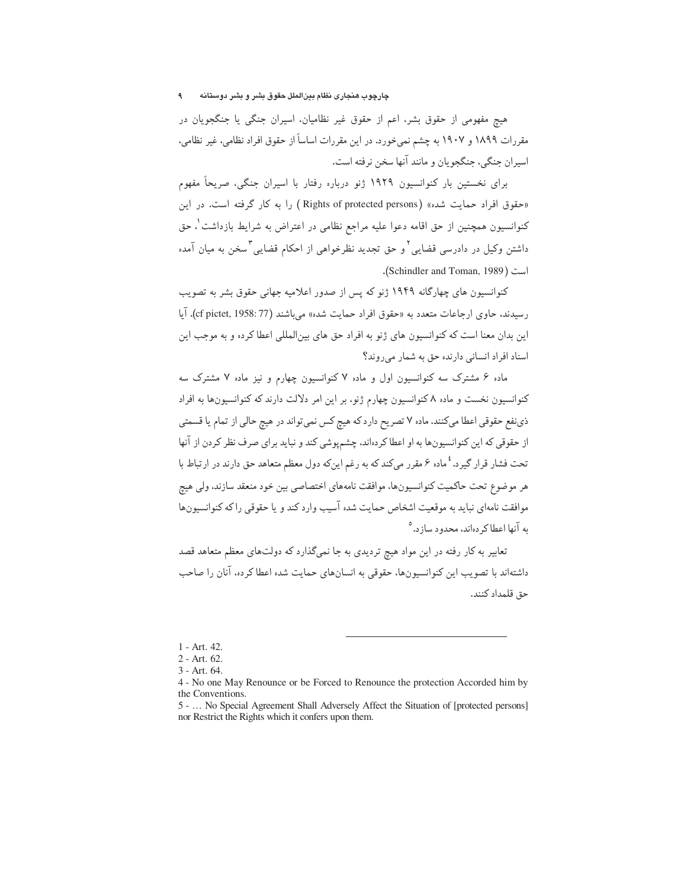### چارچوب هنجاری نظام بینالملل حقوق بشر و بشر دوستانه  $\mathbf{A}$

هیچ مفهومی از حقوق بشر، اعم از حقوق غیر نظامیان، اسپران جنگی یا جنگجویان در مقررات ۱۸۹۹ و ۱۹۰۷ به چشم نمی خورد. در این مقررات اساساً از حقوق افراد نظامی، غیر نظامی، اسيران جنگي، جنگجو پان و مانند آنها سخن نرفته است.

برای نخستین بار کنوانسیون ۱۹۲۹ ژنو درباره رفتار با اسیران جنگی، صریحاً مفهوم «حقوق افراد حمايت شده» ( Rights of protected persons ) را به كار گرفته است. در اين کنوانسیون همچنین از حق اقامه دعوا علیه مراجع نظامی در اعتراض به شرایط بازداشت ْ، حق داشتن وکیل در دادرسی قضایی ٌ و حق تجدید نظرخواهی از احکام قضایی ؓ سخن به میان آمده است (Schindler and Toman, 1989).

کنوانسیون های چهارگانه ۱۹۴۹ ژنو که پس از صدور اعلامیه چهانی حقوق پشر به تصویب رسیدند، حاوی ارجاعات متعدد به «حقوق افراد حمایت شده» می باشند (37 cf pictet, 1958). آیا این بدان معنا است که کنوانسیون های ژنو به افراد حق های بین|لمللی اعطا کرده و به موجب این اسناد افراد انسانی دارنده حق به شمار می روند؟

ماده ۶ مشترک سه کنوانسیون اول و ماده ۷ کنوانسیون چهارم و نیز ماده ۷ مشترک سه کنوانسیون نخست و ماده ۸ کنوانسیون چهارم ژنو، بر این امر دلالت دارند که کنوانسیونها به افراد ذي نفع حقوقي اعطا ميكنند. ماده ٧ تصريح دارد كه هيچ كس نمي تواند در هيچ حالي از تمام يا قسمتي از حقوقی که این کنوانسیونها به او اعطا کردهاند، چشمپوشی کند و نباید برای صرف نظر کردن از آنها تحت فشار قرار گیرد. <sup>٤</sup> ماده ۶ مقرر ميكندكه به رغم اينكه دول معظم متعاهد حق دارند در ارتباط با هر موضوع تحت حاكميت كنوانسيونها، موافقت نامههاي اختصاصي بين خود منعقد سازند، ولي هيچ موافقت نامهای نباید به موقعیت اشخاص حمایت شده آسیب وارد کند و یا حقوقی راکه کنوانسیونها به آنها اعطا کر دهاند، محدود ساز د.<sup>0</sup>

تعابیر به کار رفته در این مواد هیچ تردیدی به جا نمیگذارد که دولتهای معظم متعاهد قصد داشتهاند با تصویب این کنوانسیونها، حقوقی به انسانهای حمایت شده اعطا کرده، آنان را صاحب حق قلمداد كنند.

<sup>1 -</sup> Art. 42.

<sup>2 -</sup> Art. 62.

 $3 - Art. 64.$ 

<sup>4 -</sup> No one May Renounce or be Forced to Renounce the protection Accorded him by the Conventions.

<sup>5 - ...</sup> No Special Agreement Shall Adversely Affect the Situation of [protected persons] nor Restrict the Rights which it confers upon them.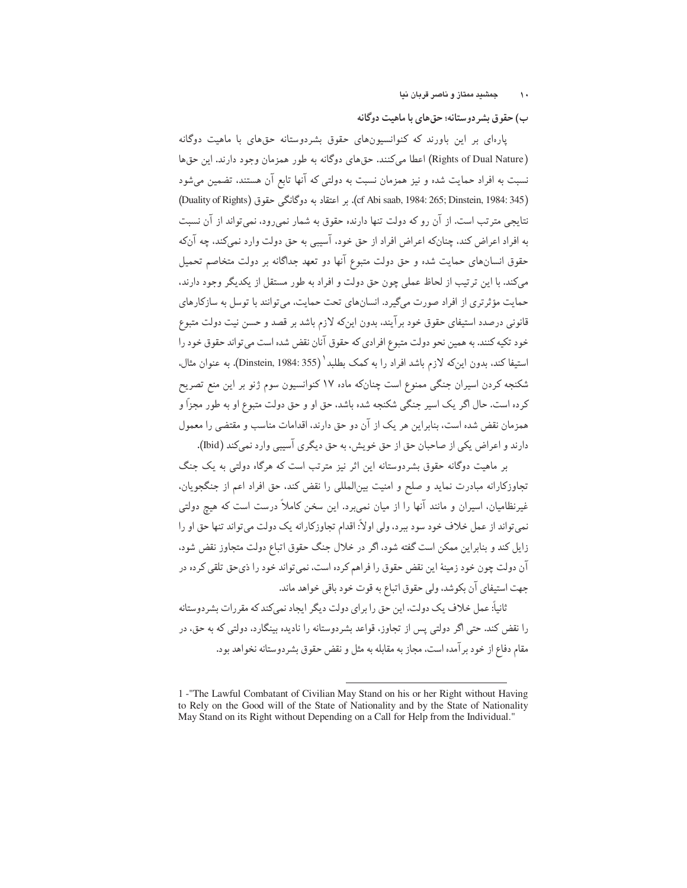# ب) حقوق بشر دوستانه؛ حقهای با ماهیت دوگانه

یارهای بر این باورند که کنوانسیونهای حقوق بشردوستانه حقهای با ماهیت دوگانه (Rights of Dual Nature) اعطا میکنند. حقهای دوگانه به طور همزمان وجود دارند. این حقها نسبت به افراد حمایت شده و نیز همزمان نسبت به دولتی که آنها تابع آن هستند، تضمین میشود (Duality of Rights) بر اعتقاد به دوگانگی حقوق (Cf Abi saab, 1984: 265; Dinstein, 1984: 345) نتایجی مترتب است. از آن رو که دولت تنها دارنده حقوق به شمار نمی رود، نمی تواند از آن نسبت به افراد اعراض کند. چنانکه اعراض افراد از حق خود، آسیبی به حق دولت وارد نمیکند. چه آنکه .<br>حقوق انسانهای حمایت شده و حق دولت متبوع آنها دو تعهد جداگانه بر دولت متخاصم تحمیل مى كند. با اين ترتيب از لحاظ عملى چون حق دولت و افراد به طور مستقل از يكديگر وجود دارند، حمایت مؤثرتری از افراد صورت میگیرد. انسانهای تحت حمایت، میتوانند با توسل به سازکارهای قانونی درصدد استیفای حقوق خود برآیند. بدون اینکه لازم باشد بر قصد و حسن نیت دولت متبوع خود تکیه کنند. به همین نحو دولت متبوع افرادي که حقوق آنان نقض شده است مي تواند حقوق خود را استيفا كند. بدون اينكه لازم باشد افراد را به كمك بطلبد ` (Dinstein, 1984: 355). به عنوان مثال. شکنجه کردن اسیران جنگی ممنوع است چنانکه ماده ۱۷ کنوانسیون سوم ژنو بر این منع تصریح کرده است. حال اگر یک اسیر جنگی شکنجه شده باشد، حق او و حق دولت متبوع او به طور مجزاً و همزمان نقض شده است، بنابراین هر یک از آن دو حق دارند. اقدامات مناسب و مقتضی را معمول دارند و اعراض یکی از صاحبان حق از حق خویش، به حق دیگری آسیبی وارد نمی کند (bid).

بر ماهیت دوگانه حقوق بشردوستانه این اثر نیز مترتب است که هرگاه دولتی به یک جنگ تجاوزکارانه مبادرت نماید و صلح و امنیت بین|لمللی را نقض کند. حق افراد اعم از جنگجویان. غیرنظامیان، اسیران و مانند آنها را از میان نمی,برد. این سخن کاملاً درست است که هیچ دولتی نمي تواند از عمل خلاف خود سود ببرد، ولي اولاً: اقدام تجاوزكارانه يک دولت مي تواند تنها حق او را زایل کند و بنابراین ممکن است گفته شود، اگر در خلال جنگ حقوق اتباع دولت متجاوز نقض شود. آن دولت چون خود زمینهٔ این نقض حقوق را فراهم کرده است، نمیتواند خود را ذیحق تلقی کرده در جهت استيفاي آن بكوشد، ولي حقوق اتباع به قوت خود باقي خواهد ماند.

ثانیاً: عمل خلاف یک دولت، این حق را برای دولت دیگر ایجاد نمیکند که مقررات بشردوستانه را نقض کند. حتی اگر دولتی پس از تجاوز، قواعد بشردوستانه را نادیده بینگارد، دولتی که به حق، در مقام دفاع از خود بر آمده است، مجاز به مقابله به مثل و نقض حقوق بشردوستانه نخواهد بود.

<sup>1 -&</sup>quot;The Lawful Combatant of Civilian May Stand on his or her Right without Having to Rely on the Good will of the State of Nationality and by the State of Nationality May Stand on its Right without Depending on a Call for Help from the Individual."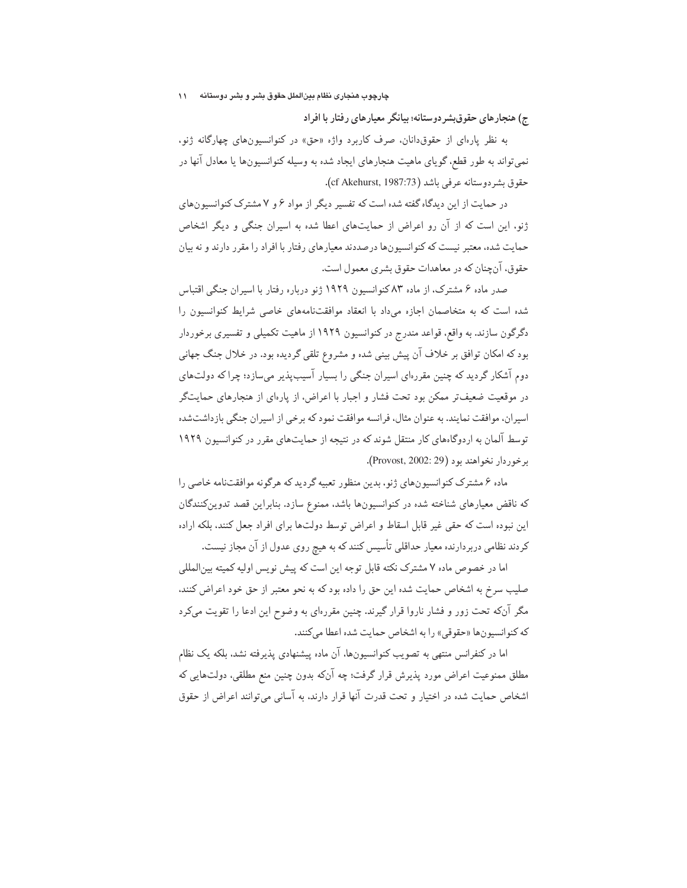ج) هنجارهای حقوق بشر دوستانه؛ بیانگر معیارهای رفتار با افراد

به نظر پارهای از حقوق دانان، صرف کاربرد واژه «حق» در کنوانسیونهای چهارگانه ژنو، نمي تواند به طور قطع. گوياي ماهيت هنجارهاي ايجاد شده به وسيله كنوانسيونها يا معادل آنها در حقوق بشردوستانه عرفي باشد (cf Akehurst, 1987:73).

در حمایت از این دیدگاه گفته شده است که تفسیر دیگر از مواد ۶ و ۷ مشترک کنوانسیونهای ژنو، این است که از آن رو اعراض از حمایتهای اعطا شده به اسپران جنگی و دیگر اشخاص حمایت شده، معتبر نیست که کنوانسیونها درصددند معیارهای رفتار با افراد را مقرر دارند و نه بیان حقوق، آن چنان که در معاهدات حقوق بشری معمول است.

صدر ماده ۶ مشترک، از ماده ۸۳ کنوانسیون ۱۹۲۹ ژنو درباره رفتار با اسیران جنگی اقتباس شده است که به متخاصمان اجازه میداد با انعقاد موافقتنامههای خاصی شرایط کنوانسیون را دگرگون سازند. به واقع، قواعد مندرج در کنوانسیون ۱۹۲۹ از ماهیت تکمیلی و تفسیری برخوردار بود که امکان توافق بر خلاف آن پیش بینی شده و مشروع تلقی گردیده بود. در خلال جنگ جهانبی دوم آشکار گردید که چنین مقررهای اسیران جنگی را بسیار آسیبپذیر میسازد؛ چرا که دولتهای در موقعیت ضعیف تر ممکن بود تحت فشار و اجبار با اعراض، از یارهای از هنجارهای حمایتگر اسیران، موافقت نمایند. به عنوان مثال، فرانسه موافقت نمود که برخی از اسیران جنگی بازداشتشده توسط آلمان به اردوگاههای کار منتقل شوند که در نتیجه از حمایتهای مقرر در کنوانسیون ۱۹۲۹ برخوردار نخواهند بود (Provost, 2002: 29).

ماده ۶ مشترک کنوانسیونهای ژنو، بدین منظور تعبیه گردید که هرگونه موافقتنامه خاصی را که ناقض معیارهای شناخته شده در کنوانسیونها باشد، ممنوع سازد. بنابراین قصد تدوینکنندگان این نبوده است که حقی غیر قابل اسقاط و اعراض توسط دولتها برای افراد جعل کنند، بلکه اراده کردند نظامی دربردارنده معیار حداقلی تأسیس کنند که به هیچ روی عدول از آن مجاز نیست.

اما در خصوص ماده ۷ مشترک نکته قابل توجه این است که پیش نویس اولیه کمیته بینالمللی صلیب سرخ به اشخاص حمایت شده این حق را داده بود که به نحو معتبر از حق خود اعراض کنند، مگر آنکه تحت زور و فشار ناروا قرار گیرند. چنین مقررهای به وضوح این ادعا را تقویت میکرد كه كنوانسيونها «حقوقي» را به اشخاص حمايت شده اعطا مي كنند.

اما در کنفرانس منتهی به تصویب کنوانسیونها، آن ماده پیشنهادی پذیرفته نشد، بلکه یک نظام مطلق ممنوعیت اعراض مورد پذیرش قرار گرفت؛ چه آنکه بدون چنین منع مطلقی، دولتهایی که اشخاص حمایت شده در اختیار و تحت قدرت آنها قرار دارند. به آسانی میتوانند اعراض از حقوق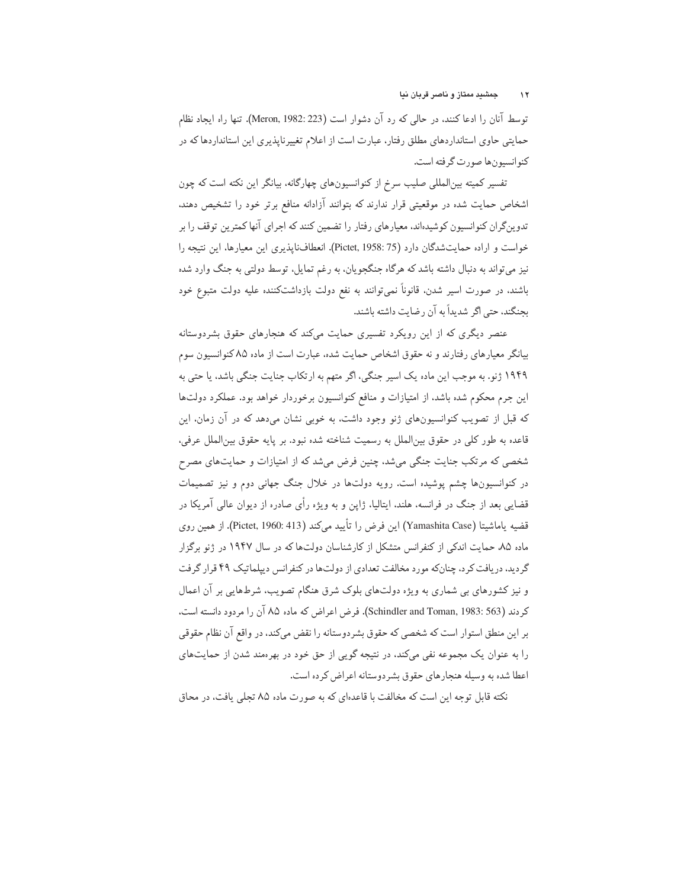توسط آنان را ادعا کنند. در حالی که رد آن دشوار است (Meron, 1982: 223). تنها راه ایجاد نظام حمایتی حاوی استانداردهای مطلق رفتار، عبارت است از اعلام تغییرناپذیری این استانداردها که در كنوانسيون ها صورت گرفته است.

تفسیر کمیته بین|لمللی صلیب سرخ از کنوانسیونهای چهارگانه، بیانگر این نکته است که چون اشخاص حمایت شده در موقعیتی قرار ندارند که بتوانند آزادانه منافع برتر خود را تشخیص دهند. تدوینگران کنوانسیون کوشیدهاند. معیارهای رفتار را تضمین کنند که اجرای آنها کمترین توقف را بر خواست و اراده حمایتشدگان دارد (Pictet, 1958: 75). انعطافناپذیری این معیارها، این نتیجه را نیز میتواند به دنبال داشته باشد که هرگاه جنگجویان، به رغم تمایل، توسط دولتی به جنگ وارد شده باشند، در صورت اسیر شدن، قانوناً نمیتوانند به نفع دولت بازداشتکننده علیه دولت متبوع خود ىحنگند، حتى اگر شديداً به آن رضايت داشته باشند.

عنصر دیگری که از این رویکرد تفسیری حمایت میکند که هنجارهای حقوق بشردوستانه بیانگر معیارهای رفتارند و نه حقوق اشخاص حمایت شده، عبارت است از ماده ۸۵ کنوانسیون سوم ۱۹۴۹ ژنو. به موجب این ماده یک اسیر جنگی، اگر متهم به ارتکاب جنایت جنگی باشد، یا حتی به این جرم محکوم شده باشد، از امتیازات و منافع کنوانسیون برخوردار خواهد بود. عملکرد دولتها که قبل از تصویب کنوانسیونهای ژنو وجود داشت، به خوبی نشان میدهد که در آن زمان، این قاعده به طور كلي در حقوق بين|لملل به رسميت شناخته شده نبود. بر پايه حقوق بين|لملل عرفي، شخصی که مرتکب جنایت جنگی میشد، چنین فرض میشد که از امتیازات و حمایتهای مصرح در کنوانسیونها چشم پوشیده است. رویه دولتها در خلال جنگ جهانی دوم و نیز تصمیمات قضایی بعد از جنگ در فرانسه، هلند، ایتالیا، ژاپن و به ویژه رأی صادره از دیوان عالی آمریکا در قضيه ياماشيتا (Yamashita Case) اين فرض را تأييد ميكند (Pictet, 1960: 413). از همين روى ماده ۸۵، حمایت اندکی از کنفرانس متشکل از کارشناسان دولتها که در سال ۱۹۴۷ در ژنو برگزار گردید، دریافت کرد، چنانکه مورد مخالفت تعدادی از دولتها در کنفرانس دیپلماتیک ۴۹ قرار گرفت و نیز کشورهای بی شماری به ویژه دولتهای بلوک شرق هنگام تصویب، شرطهایی بر آن اعمال كردند (Schindler and Toman, 1983: 563). فرض اعراض كه ماده ٨۵ آن را مردود دانسته است. بر این منطق استوار است که شخصی که حقوق بشردوستانه را نقض میکند، در واقع آن نظام حقوقی را به عنوان یک مجموعه نفی میکند، در نتیجه گویی از حق خود در بهرهمند شدن از حمایتهای اعطا شده به وسیله هنجارهای حقوق بشردوستانه اعراض کرده است.

نکته قابل توجه این است که مخالفت با قاعدهای که به صورت ماده ۸۵ تجلی یافت، در محاق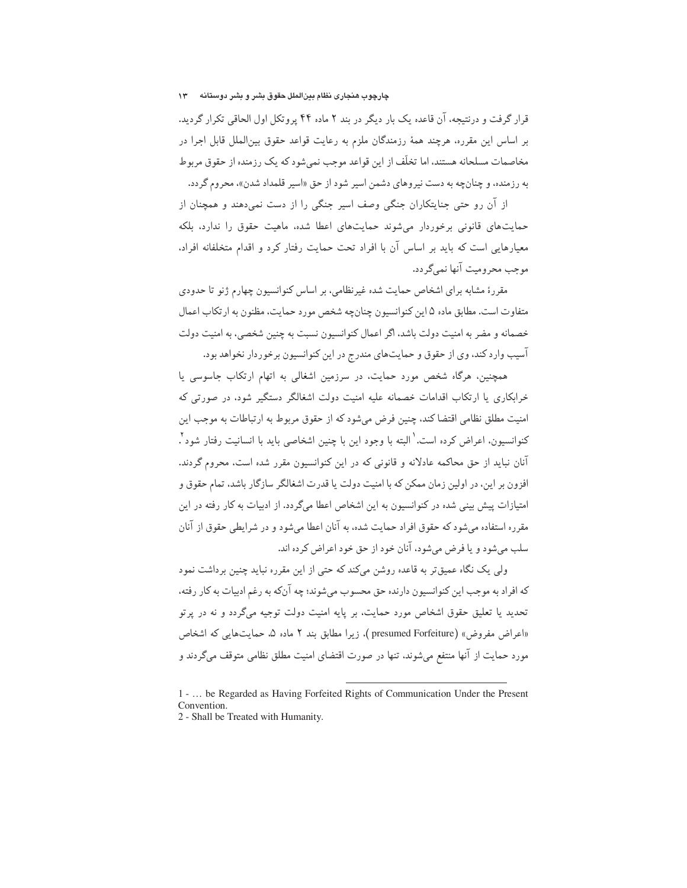چارچوب هنجاری نظام بینالملل حقوق بشر و بشر دوستانه مس ۱۳

قرار گرفت و درنتیجه، آن قاعده یک بار دیگر در بند ۲ ماده ۴۴ پروتکل اول الحاقی تکرار گردید. بر اساس این مقرره، هرچند همهٔ رزمندگان ملزم به رعایت قواعد حقوق بین|لملل قابل اجرا در مخاصمات مسلحانه هستند، اما تخلّف از این قواعد موجب نمی شود که یک رزمنده از حقوق مربوط به رزمنده، و چنانچه به دست نیروهای دشمن اسیر شود از حق «اسیر قلمداد شدن»، محروم گردد.

از آن رو حتی جنایتکاران جنگی وصف اسیر جنگی را از دست نمیدهند و همچنان از حمایتهای قانونی برخوردار میشوند حمایتهای اعطا شده، ماهیت حقوق را ندارد، بلکه معیارهایی است که باید بر اساس آن با افراد تحت حمایت رفتار کرد و اقدام متخلفانه افراد. موجب محرومت آنها نمبيء دد.

مقررهٔ مشابه برای اشخاص حمایت شده غیرنظامی، بر اساس کنوانسیون چهارم ژنو تا حدودی متفاوت است. مطابق ماده ۵ این کنوانسیون چنان چه شخص مورد حمایت، مظنون به ارتکاب اعمال خصمانه و مضر به امنیت دولت باشد، اگر اعمال کنوانسیون نسبت به چنین شخصی، به امنیت دولت آسيب وارد كند، وي از حقوق و حمايتهاي مندرج در اين كنوانسيون برخوردار نخواهد بود.

همچنین، هرگاه شخص مورد حمایت، در سرزمین اشغالی به اتهام ارتکاب جاسوسی یا خرابکاری یا ارتکاب اقدامات خصمانه علیه امنیت دولت اشغالگر دستگیر شود، در صورتی که امنیت مطلق نظامی اقتضا کند، چنین فرض میشود که از حقوق مربوط به ارتباطات به موجب این كنوانسيون، اعراض كرده است. ٰ البته با وجود اين با چنين اشخاصي بايد با انسانيت رفتار شود ْ. آنان نباید از حق محاکمه عادلانه و قانونی که در این کنوانسیون مقرر شده است، محروم گردند. افزون بر این، در اولین زمان ممکن که با امنیت دولت یا قدرت اشغالگر سازگار باشد، تمام حقوق و امتیازات پیش بینی شده در کنوانسیون به این اشخاص اعطا میگردد. از ادبیات به کار رفته در این مقرره استفاده می شود که حقوق افراد حمایت شده، به آنان اعطا می شود و در شرایطی حقوق از آنان سلب مي شود و يا فرض مي شود، آنان خود از حق خود اعراض كرده اند.

ولی یک نگاه عمیقتر به قاعده روشن میکند که حتی از این مقرره نباید چنین برداشت نمود که افراد به موجب این کنوانسیون دارنده حق محسوب میشوند؛ چه آنکه به رغم ادبیات به کار رفته، تحدید یا تعلیق حقوق اشخاص مورد حمایت، بر پایه امنیت دولت توجیه میگردد و نه در پرتو «اعراض مفروض» (presumed Forfeiture )، زيرا مطابق بند ٢ ماده ۵. حمايت هايي كه اشخاص مورد حمایت از آنها منتفع میشوند، تنها در صورت اقتضای امنیت مطلق نظامی متوقف میگردند و

<sup>1 - ...</sup> be Regarded as Having Forfeited Rights of Communication Under the Present Convention.

<sup>2 -</sup> Shall be Treated with Humanity.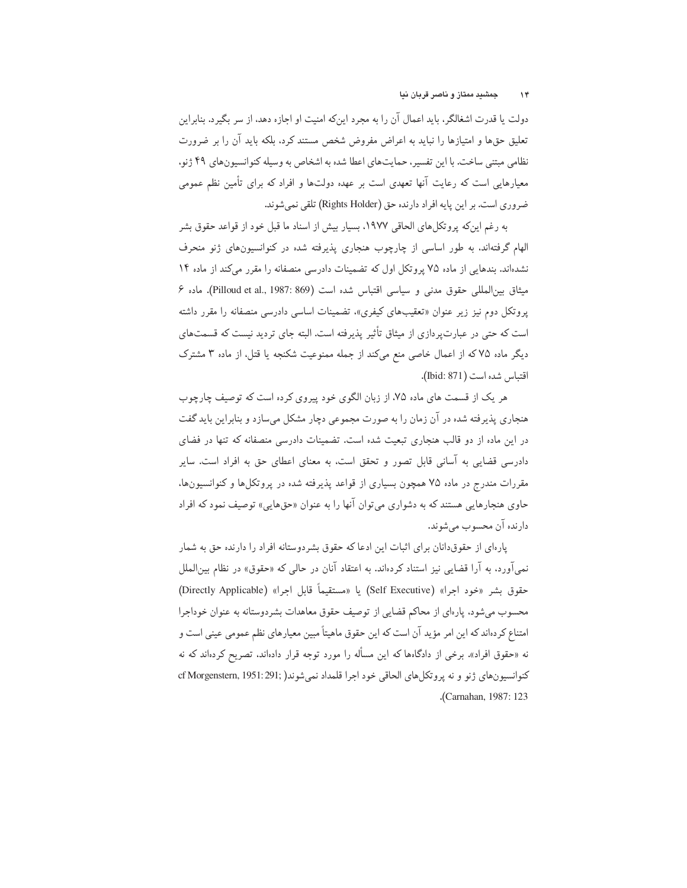دولت یا قدرت اشغالگر، باید اعمال آن را به مجرد اینکه امنیت او اجازه دهد، از سر بگیرد. بنابراین تعلیق حقها و امتیازها را نباید به اعراض مفروض شخص مستند کرد، بلکه باید آن را بر ضرورت نظامی مبتنی ساخت. با این تفسیر، حمایتهای اعطا شده به اشخاص به وسیله کنوانسیونهای ۴۹ ژنو، معیارهایی است که رعایت آنها تعهدی است بر عهده دولتها و افراد که برای تأمین نظم عمومی ضروري است. بر اين يايه افراد دارنده حق (Rights Holder) تلقى نمى شوند.

به رغم اینکه پروتکلهای الحاقی ۱۹۷۷. بسیار بیش از اسناد ما قبل خود از قواعد حقوق بشر الهام گرفتهاند. به طور اساسی از چارچوب هنجاری پذیرفته شده در کنوانسیونهای ژنو منحرف نشدهاند. بندهایی از ماده ۷۵ پروتکل اول که تضمینات دادرسی منصفانه را مقرر میکند از ماده ۱۴ ميثاق بين المللي حقوق مدنى و سياسي اقتباس شده است (1987: 869). ماده ۶ یروتکل دوم نیز زیر عنوان «تعقیبهای کیفری»، تضمینات اساسی دادرسی منصفانه را مقرر داشته است که حتی در عبارت پردازی از میثاق تأثیر پذیرفته است. البته جای تردید نیست که قسمتهای دیگر ماده ۷۵ که از اعمال خاصی منع میکند از جمله ممنوعیت شکنجه یا قتل، از ماده ۳ مشترک اقتباس شده است (Ibid: 871).

هر یک از قسمت های ماده ۷۵، از زبان الگوی خود پیروی کرده است که توصیف چارچوب هنجاری پذیرفته شده در آن زمان را به صورت مجموعی دچار مشکل میسازد و بنابراین باید گفت در این ماده از دو قالب هنجاری تبعت شده است. تضمینات دادرسی منصفانه که تنها در فضای دادرسی قضایی به آسانی قابل تصور و تحقق است، به معنای اعطای حق به افراد است. سایر مقررات مندرج در ماده ۷۵ همچون بسیاری از قواعد پذیرفته شده در پروتکلها و کنوانسیونها، حاوي هنجارهايي هستند كه به دشواري مي توان آنها را به عنوان «حقهايي» توصيف نمود كه افراد دارنده آن محسوب می شوند.

یارهای از حقوقدانان برای اثبات این ادعا که حقوق بشردوستانه افراد را دارنده حق به شمار نمی[ّورد، به آرا قضایی نیز استناد کردهاند. به اعتقاد آنان در حالبی که «حقوق» در نظام بین|لملل حقوق بشر «خود اجرا» (Self Executive) يا «مستقيماً قابل اجرا» (Directly Applicable) محسوب می شود، پارهای از محاکم قضایی از توصیف حقوق معاهدات بشردوستانه به عنوان خوداجرا امتناع کردهاند که این امر مؤید آن است که این حقوق ماهیتاً مبین معیارهای نظم عمومی عینی است و نه «حقوق افراد». برخی از دادگاهها که این مسأله را مورد توجه قرار دادهاند. تصریح کردهاند که نه كنوانسيون هاي ژنو و نه يروتكل هاي الحاقي خود اجرا قلمداد نمي شوند( cf Morgenstern, 1951: 291; .(Carnahan, 1987: 123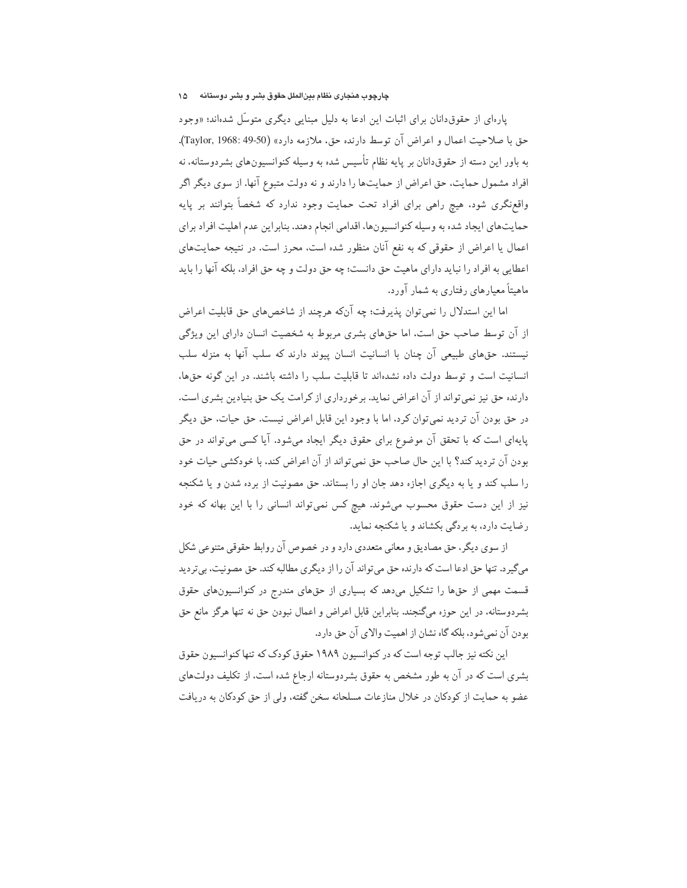# چارچوب هنجاری نظام بینالملل حقوق بشر و بشر دوستانه ه ۱۵

یارهای از حقوق دانان برای اثبات این ادعا به دلیل مبنایی دیگری متوسّل شدهاند؛ «وجود حق با صلاحيت اعمال و اعراض آن توسط دارنده حق، ملازمه دارد» (Taylor, 1968: 49-50). به باور این دسته از حقوقدانان بر پایه نظام تأسیس شده به وسیله کنوانسیونهای بشردوستانه، نه افراد مشمول حمایت، حق اعراض از حمایتها را دارند و نه دولت متبوع آنها. از سوی دیگر اگر واقع;نگری شود، هیچ راهی برای افراد تحت حمایت وجود ندارد که شخصاً بتوانند بر پایه حمایتهای ایجاد شده به وسیله کنوانسیونها، اقدامی انجام دهند. بنابراین عدم اهلیت افراد برای اعمال یا اعراض از حقوقی که به نفع آنان منظور شده است، محرز است. در نتیجه حمایتهای اعطایی به افراد را نباید دارای ماهیت حق دانست؛ چه حق دولت و چه حق افراد، بلکه آنها را باید ماهیتاً معیارهای رفتاری به شمار آورد.

اما این استدلال را نمی توان پذیرفت؛ چه آنکه هرچند از شاخصهای حق قابلیت اعراض از آن توسط صاحب حق است، اما حقهای بشری مربوط به شخصیت انسان دارای این ویژگی نیستند. حقهای طبیعی آن چنان با انسانیت انسان پیوند دارند که سلب آنها به منزله سلب انسانیت است و توسط دولت داده نشدهاند تا قابلیت سلب را داشته باشند. در این گونه حقها، دارنده حق نیز نمی تواند از آن اعراض نماید. برخورداری از کرامت یک حق بنیادین بشری است. در حق بودن آن تردید نمیتوان کرد، اما با وجود این قابل اعراض نیست. حق حیات، حق دیگر پایهای است که با تحقق آن موضوع برای حقوق دیگر ایجاد می شود. آیا کسی می تواند در حق بودن آن تردید کند؟ با این حال صاحب حق نمیتواند از آن اعراض کند، با خودکشی حیات خود را سلب کند و یا به دیگری اجازه دهد جان او را بستاند. حق مصونیت از برده شدن و یا شکنجه نیز از این دست حقوق محسوب میشوند. هیچ کس نمیتواند انسانی را با این بهانه که خود رضایت دارد، به بردگی بکشاند و یا شکنجه نماید.

از سوی دیگر، حق مصادیق و معانی متعددی دارد و در خصوص آن روابط حقوقی متنوعی شکل می گیرد. تنها حق ادعا است که دارنده حق می تواند آن را از دیگری مطالبه کند. حق مصونیت، بیتردید قسمت مهمی از حقها را تشکیل میدهد که بسیاری از حقهای مندرج در کنوانسیونهای حقوق بشردوستانه، در این حوزه میگنجند. بنابراین قابل اعراض و اعمال نبودن حق نه تنها هرگز مانع حق بودن آن نمي شود، بلكه گاه نشان از اهميت والاي آن حق دار د.

این نکته نیز جالب توجه است که در کنوانسیون ۱۹۸۹ حقوق کودک که تنها کنوانسیون حقوق بشری است که در آن به طور مشخص به حقوق بشردوستانه ارجاع شده است، از تکلیف دولتهای عضو به حمایت از کودکان در خلال منازعات مسلحانه سخن گفته، ولی از حق کودکان به دریافت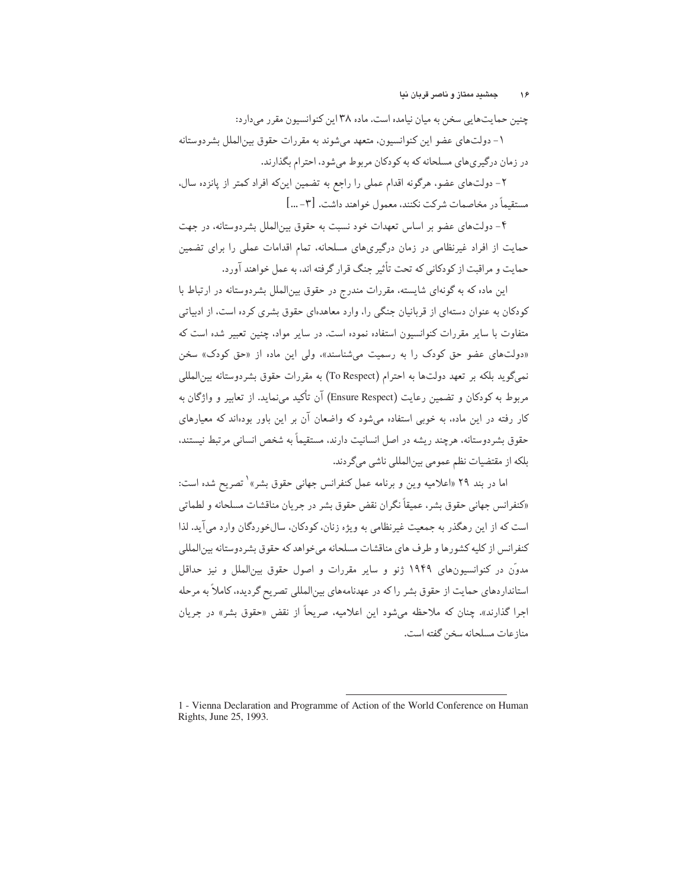چنین حمایتهایی سخن به میان نیامده است. ماده ۳۸ این کنوانسیون مقرر میدارد:

۱– دولتهای عضو این کنوانسیون، متعهد میشوند به مقررات حقوق بین|لملل بشردوستانه در زمان درگیری های مسلحانه که به کودکان مربوط می شود، احترام بگذارند.

۲– دولتهای عضو، هرگونه اقدام عملی را راجع به تضمین اینکه افراد کمتر از پانزده سال، مستقيماً در مخاصمات شركت نكنند، معمول خواهند داشت. [٣- ...]

۴- دولتهای عضو بر اساس تعهدات خود نسبت به حقوق بینالملل بشردوستانه، در جهت حمایت از افراد غیرنظامی در زمان درگیری،های مسلحانه، تمام اقدامات عملی را برای تضمین حمایت و مراقبت از کودکانی که تحت تأثیر جنگ قرار گرفته اند، به عمل خواهند آورد.

این ماده که به گونهای شایسته، مقررات مندرج در حقوق بین|لملل بشردوستانه در ارتباط با کودکان به عنوان دستهای از قربانیان جنگی را، وارد معاهدهای حقوق بشری کرده است، از ادبیاتی متفاوت با سایر مقررات کنوانسیون استفاده نموده است. در سایر مواد، چنین تعبیر شده است که «دولتهای عضو حق کودک را به رسمیت می شناسند»، ولی این ماده از «حق کودک» سخن نميگويد بلكه بر تعهد دولتها به احترام (To Respect) به مقررات حقوق بشردوستانه بين|لمللي مربوط به کودکان و تضمین رعایت (Ensure Respect) آن تأکید می نماید. از تعاییر و واژگان به کار رفته در این ماده، به خوبی استفاده میشود که واضعان آن بر این باور بودهاند که معیارهای حقوق بشردوستانه، هرچند ریشه در اصل انسانیت دارند، مستقیماً به شخص انسانی مرتبط نیستند، بلكه از مقتضيات نظم عمومي بينالمللي ناشي مي گردند.

اما در بند ۲۹ «اعلامیه وین و برنامه عمل کنفرانس جهانی حقوق بشر»<sup>۱</sup> تصریح شده است: «كنفرانس جهاني حقوق بشر، عميقاً نگران نقض حقوق بشر در جريان مناقشات مسلحانه و لطماتي است که از این رهگذر به جمعت غیرنظامی به ویژه زنان، کودکان، سال خوردگان وارد می آید. لذا كنفرانس از كليه كشورها و طرف هاي مناقشات مسلحانه ميخواهد كه حقوق بشردوستانه بينالمللي مدوّن در کنوانسیونهای ۱۹۴۹ ژنو و سایر مقررات و اصول حقوق بینالملل و نیز حداقل استانداردهای حمایت از حقوق بشر راكه در عهدنامههای بین|لمللی تصریح گردیده، كاملاً به مرحله اجرا گذارند». چنان که ملاحظه می شود این اعلامیه، صریحاً از نقض «حقوق بشر» در جریان مناز عات مسلحانه سخن گفته است.

<sup>1 -</sup> Vienna Declaration and Programme of Action of the World Conference on Human Rights, June 25, 1993.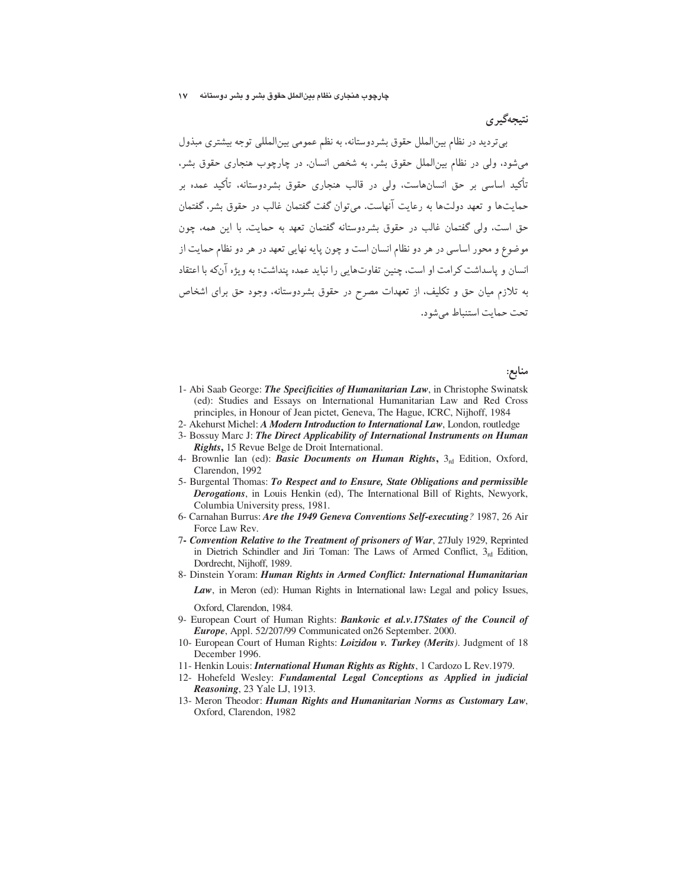نتىجەگىر ي

بی تردید در نظام بینالملل حقوق بشردوستانه، به نظم عمومی بین المللی توجه بیشتری مبذول میشود، ولی در نظام بین|لملل حقوق بشر، به شخص انسان. در چارچوب هنجاری حقوق بشر، تأکید اساسی بر حق انسانهاست. ولی در قالب هنجاری حقوق بشردوستانه. تأکید عمده بر حمایتها و تعهد دولتها به رعایت آنهاست. می توان گفت گفتمان غالب در حقوق بشر، گفتمان حق است، ولي گفتمان غالب در حقوق بشردوستانه گفتمان تعهد به حمايت. با اين همه، چون موضوع و محور اساسی در هر دو نظام انسان است و چون پایه نهایی تعهد در هر دو نظام حمایت از انسان و پاسداشت کرامت او است، چنین تفاوتهایی را نباید عمده پنداشت؛ به ویژه آنکه با اعتقاد به تلازم میان حق و تکلیف، از تعهدات مصرح در حقوق بشردوستانه، وجود حق برای اشخاص تحت حمایت استنباط می شود.

منابع:

- 1- Abi Saab George: The Specificities of Humanitarian Law, in Christophe Swinatsk (ed): Studies and Essays on International Humanitarian Law and Red Cross principles, in Honour of Jean pictet, Geneva, The Hague, ICRC, Nijhoff, 1984
- 2- Akehurst Michel: A Modern Introduction to International Law, London, routledge
- 3- Bossuy Marc J: The Direct Applicability of International Instruments on Human Rights, 15 Revue Belge de Droit International.
- 4- Brownlie Ian (ed): Basic Documents on Human Rights, 3rd Edition, Oxford, Clarendon, 1992
- 5- Burgental Thomas: To Respect and to Ensure, State Obligations and permissible Derogations, in Louis Henkin (ed), The International Bill of Rights, Newyork, Columbia University press, 1981.
- 6- Carnahan Burrus: Are the 1949 Geneva Conventions Self-executing? 1987, 26 Air Force Law Rev.
- 7- Convention Relative to the Treatment of prisoners of War, 27July 1929, Reprinted in Dietrich Schindler and Jiri Toman: The Laws of Armed Conflict,  $3<sub>rd</sub>$  Edition, Dordrecht, Nijhoff, 1989.
- 8- Dinstein Yoram: Human Rights in Armed Conflict: International Humanitarian Law, in Meron (ed): Human Rights in International law: Legal and policy Issues,

Oxford, Clarendon, 1984.

- 9- European Court of Human Rights: Bankovic et al.v.17States of the Council of Europe, Appl. 52/207/99 Communicated on 26 September. 2000.
- 10- European Court of Human Rights: Loizidou v. Turkey (Merits). Judgment of 18 December 1996.
- 11- Henkin Louis: *International Human Rights as Rights*, 1 Cardozo L Rev.1979.
- 12- Hohefeld Wesley: Fundamental Legal Conceptions as Applied in judicial Reasoning, 23 Yale LJ, 1913.
- 13- Meron Theodor: Human Rights and Humanitarian Norms as Customary Law, Oxford, Clarendon, 1982